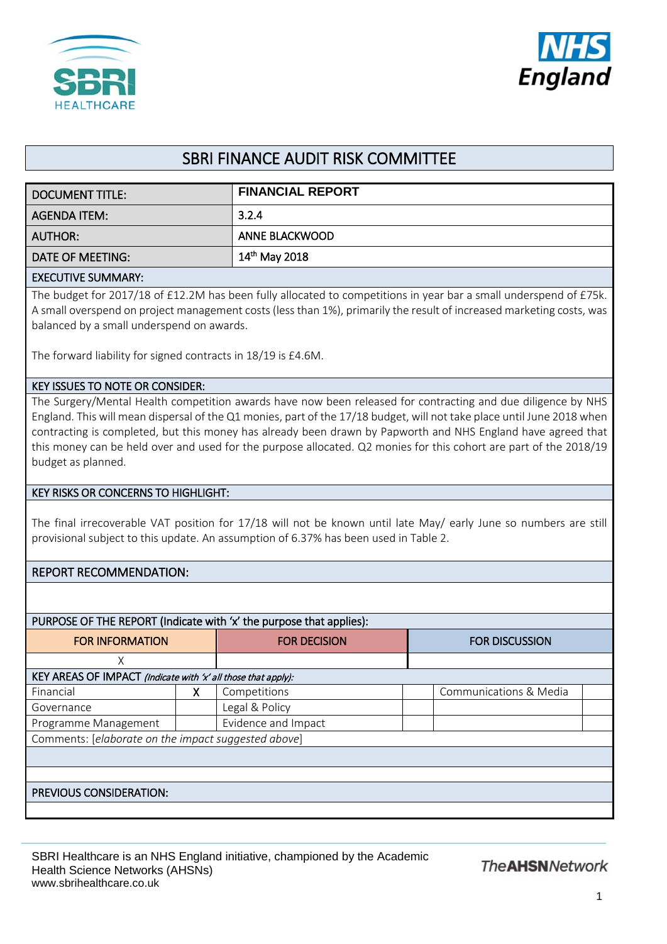



# SBRI FINANCE AUDIT RISK COMMITTEE

| DOCUMENT TITLE:           | <b>FINANCIAL REPORT</b>   |
|---------------------------|---------------------------|
| AGENDA ITEM:              | 3.2.4                     |
| <b>AUTHOR:</b>            | ANNE BLACKWOOD            |
| DATE OF MEETING:          | $14^{\text{th}}$ May 2018 |
| <b>EVECUTIVE CURALIAN</b> |                           |

#### EXECUTIVE SUMMARY:

The budget for 2017/18 of £12.2M has been fully allocated to competitions in year bar a small underspend of £75k. A small overspend on project management costs (less than 1%), primarily the result of increased marketing costs, was balanced by a small underspend on awards.

The forward liability for signed contracts in 18/19 is £4.6M.

#### KEY ISSUES TO NOTE OR CONSIDER:

The Surgery/Mental Health competition awards have now been released for contracting and due diligence by NHS England. This will mean dispersal of the Q1 monies, part of the 17/18 budget, will not take place until June 2018 when contracting is completed, but this money has already been drawn by Papworth and NHS England have agreed that this money can be held over and used for the purpose allocated. Q2 monies for this cohort are part of the 2018/19 budget as planned.

### KEY RISKS OR CONCERNS TO HIGHLIGHT:

The final irrecoverable VAT position for 17/18 will not be known until late May/ early June so numbers are still provisional subject to this update. An assumption of 6.37% has been used in Table 2.

## REPORT RECOMMENDATION:

| <b>FOR INFORMATION</b>                                        |   | <b>FOR DECISION</b> | <b>FOR DISCUSSION</b>  |  |  |  |  |  |  |  |
|---------------------------------------------------------------|---|---------------------|------------------------|--|--|--|--|--|--|--|
| Χ                                                             |   |                     |                        |  |  |  |  |  |  |  |
| KEY AREAS OF IMPACT (Indicate with 'x' all those that apply): |   |                     |                        |  |  |  |  |  |  |  |
| Financial                                                     | х | Competitions        | Communications & Media |  |  |  |  |  |  |  |
| Governance                                                    |   | Legal & Policy      |                        |  |  |  |  |  |  |  |
| Programme Management                                          |   | Evidence and Impact |                        |  |  |  |  |  |  |  |
| Comments: [elaborate on the impact suggested above]           |   |                     |                        |  |  |  |  |  |  |  |
|                                                               |   |                     |                        |  |  |  |  |  |  |  |
|                                                               |   |                     |                        |  |  |  |  |  |  |  |
| PREVIOUS CONSIDERATION:                                       |   |                     |                        |  |  |  |  |  |  |  |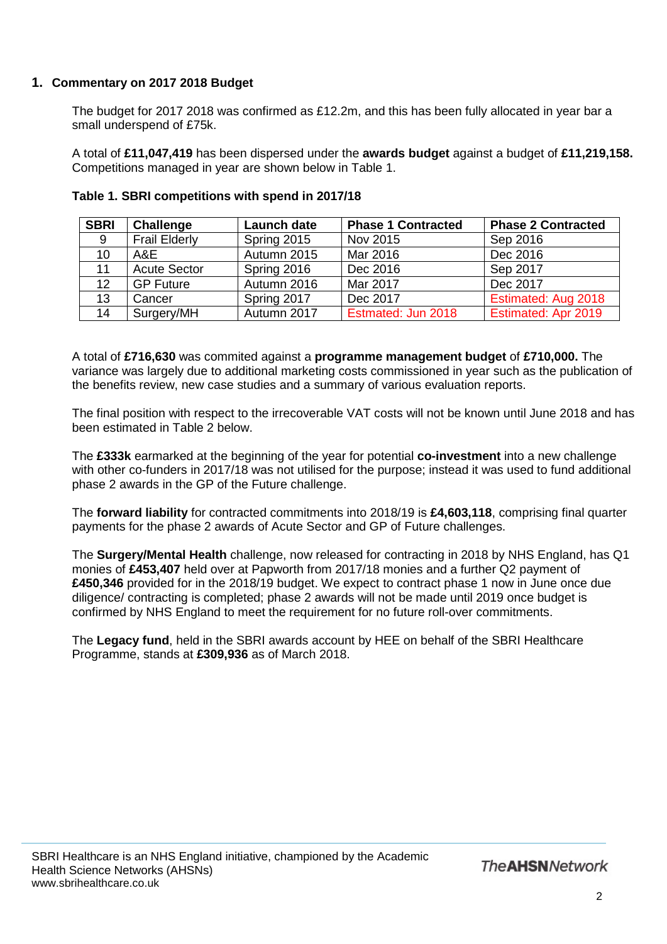# **1. Commentary on 2017 2018 Budget**

The budget for 2017 2018 was confirmed as £12.2m, and this has been fully allocated in year bar a small underspend of £75k.

A total of **£11,047,419** has been dispersed under the **awards budget** against a budget of **£11,219,158.**  Competitions managed in year are shown below in Table 1.

| <b>SBRI</b> | Challenge            | <b>Launch date</b> | <b>Phase 1 Contracted</b> | <b>Phase 2 Contracted</b> |
|-------------|----------------------|--------------------|---------------------------|---------------------------|
| 9           | <b>Frail Elderly</b> | Spring 2015        | Nov 2015                  | Sep 2016                  |
| 10          | A&E                  | Autumn 2015        | Mar 2016                  | Dec 2016                  |
| 11          | <b>Acute Sector</b>  | Spring 2016        | Dec 2016                  | Sep 2017                  |
| 12          | <b>GP Future</b>     | Autumn 2016        | Mar 2017                  | Dec 2017                  |
| 13          | Cancer               | Spring 2017        | Dec 2017                  | Estimated: Aug 2018       |
| 14          | Surgery/MH           | Autumn 2017        | Estmated: Jun 2018        | Estimated: Apr 2019       |

## **Table 1. SBRI competitions with spend in 2017/18**

A total of **£716,630** was commited against a **programme management budget** of **£710,000.** The variance was largely due to additional marketing costs commissioned in year such as the publication of the benefits review, new case studies and a summary of various evaluation reports.

The final position with respect to the irrecoverable VAT costs will not be known until June 2018 and has been estimated in Table 2 below.

The **£333k** earmarked at the beginning of the year for potential **co-investment** into a new challenge with other co-funders in 2017/18 was not utilised for the purpose; instead it was used to fund additional phase 2 awards in the GP of the Future challenge.

The **forward liability** for contracted commitments into 2018/19 is **£4,603,118**, comprising final quarter payments for the phase 2 awards of Acute Sector and GP of Future challenges.

The **Surgery/Mental Health** challenge, now released for contracting in 2018 by NHS England, has Q1 monies of **£453,407** held over at Papworth from 2017/18 monies and a further Q2 payment of **£450,346** provided for in the 2018/19 budget. We expect to contract phase 1 now in June once due diligence/ contracting is completed; phase 2 awards will not be made until 2019 once budget is confirmed by NHS England to meet the requirement for no future roll-over commitments.

The **Legacy fund**, held in the SBRI awards account by HEE on behalf of the SBRI Healthcare Programme, stands at **£309,936** as of March 2018.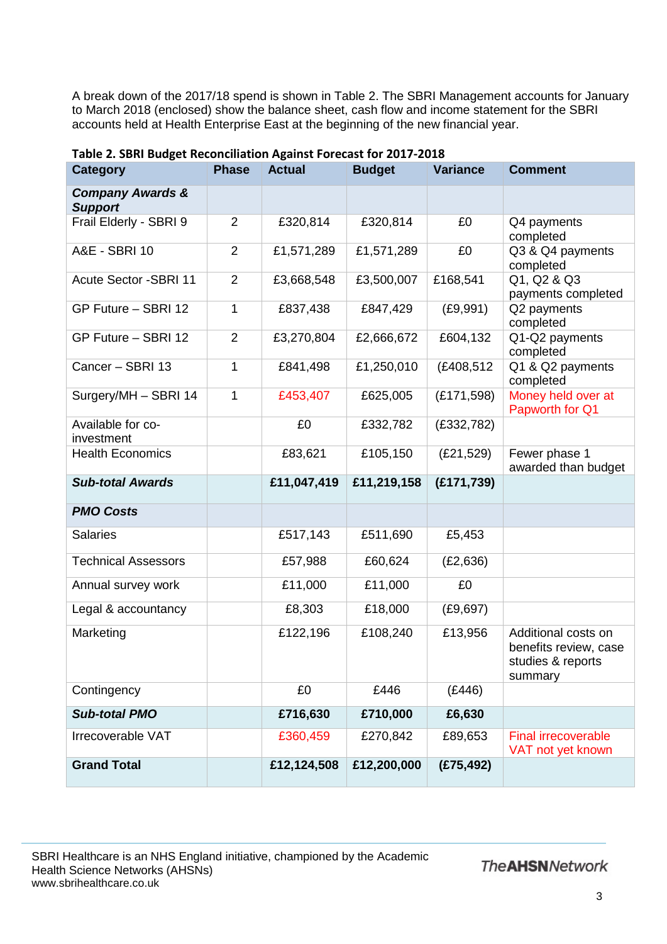A break down of the 2017/18 spend is shown in Table 2. The SBRI Management accounts for January to March 2018 (enclosed) show the balance sheet, cash flow and income statement for the SBRI accounts held at Health Enterprise East at the beginning of the new financial year.

| $\sim$ 30 $\sim$ 8 $\sim$ 8 $\sim$ 8 $\sim$ 8 $\sim$ 8 $\sim$ 8 $\sim$ 8 $\sim$<br><b>Category</b> | <b>Phase</b>   | יטט ו טי יושם<br><b>Actual</b> | <b>Budget</b> | <b>Variance</b> | <b>Comment</b>                                                               |  |  |  |
|----------------------------------------------------------------------------------------------------|----------------|--------------------------------|---------------|-----------------|------------------------------------------------------------------------------|--|--|--|
| <b>Company Awards &amp;</b><br><b>Support</b>                                                      |                |                                |               |                 |                                                                              |  |  |  |
| Frail Elderly - SBRI 9                                                                             | 2              | £320,814                       | £320,814      | £0              | Q4 payments<br>completed                                                     |  |  |  |
| A&E - SBRI 10                                                                                      | $\overline{2}$ | £1,571,289                     | £1,571,289    | £0              | Q3 & Q4 payments<br>completed                                                |  |  |  |
| <b>Acute Sector -SBRI 11</b>                                                                       | 2              | £3,668,548                     | £3,500,007    | £168,541        | Q1, Q2 & Q3<br>payments completed                                            |  |  |  |
| GP Future - SBRI 12                                                                                | 1              | £837,438                       | £847,429      | (E9, 991)       | Q2 payments<br>completed                                                     |  |  |  |
| GP Future - SBRI 12                                                                                | $\overline{2}$ | £3,270,804                     | £2,666,672    | £604,132        | Q1-Q2 payments<br>completed                                                  |  |  |  |
| Cancer - SBRI 13                                                                                   | 1              | £841,498                       | £1,250,010    | (£408,512)      | Q1 & Q2 payments<br>completed                                                |  |  |  |
| Surgery/MH - SBRI 14                                                                               | $\mathbf{1}$   | £453,407                       | £625,005      | (E171,598)      | Money held over at<br>Papworth for Q1                                        |  |  |  |
| Available for co-<br>investment                                                                    |                | £0                             | £332,782      | (E332,782)      |                                                                              |  |  |  |
| <b>Health Economics</b>                                                                            |                | £83,621                        | £105,150      | (E21,529)       | Fewer phase 1<br>awarded than budget                                         |  |  |  |
| <b>Sub-total Awards</b>                                                                            |                | £11,047,419                    | £11,219,158   | (E171, 739)     |                                                                              |  |  |  |
| <b>PMO Costs</b>                                                                                   |                |                                |               |                 |                                                                              |  |  |  |
| <b>Salaries</b>                                                                                    |                | £517,143                       | £511,690      | £5,453          |                                                                              |  |  |  |
| <b>Technical Assessors</b>                                                                         |                | £57,988                        | £60,624       | (E2, 636)       |                                                                              |  |  |  |
| Annual survey work                                                                                 |                | £11,000                        | £11,000       | £0              |                                                                              |  |  |  |
| Legal & accountancy                                                                                |                | £8,303                         | £18,000       | (E9, 697)       |                                                                              |  |  |  |
| Marketing                                                                                          |                | £122,196                       | £108,240      | £13,956         | Additional costs on<br>benefits review, case<br>studies & reports<br>summary |  |  |  |
| Contingency                                                                                        |                | £0                             | £446          | (E446)          |                                                                              |  |  |  |
| <b>Sub-total PMO</b>                                                                               |                | £716,630                       | £710,000      | £6,630          |                                                                              |  |  |  |
| Irrecoverable VAT                                                                                  |                | £360,459                       | £270,842      | £89,653         | <b>Final irrecoverable</b><br>VAT not yet known                              |  |  |  |
| <b>Grand Total</b>                                                                                 |                | £12,124,508                    | £12,200,000   | (E75, 492)      |                                                                              |  |  |  |

## **Table 2. SBRI Budget Reconciliation Against Forecast for 2017-2018**